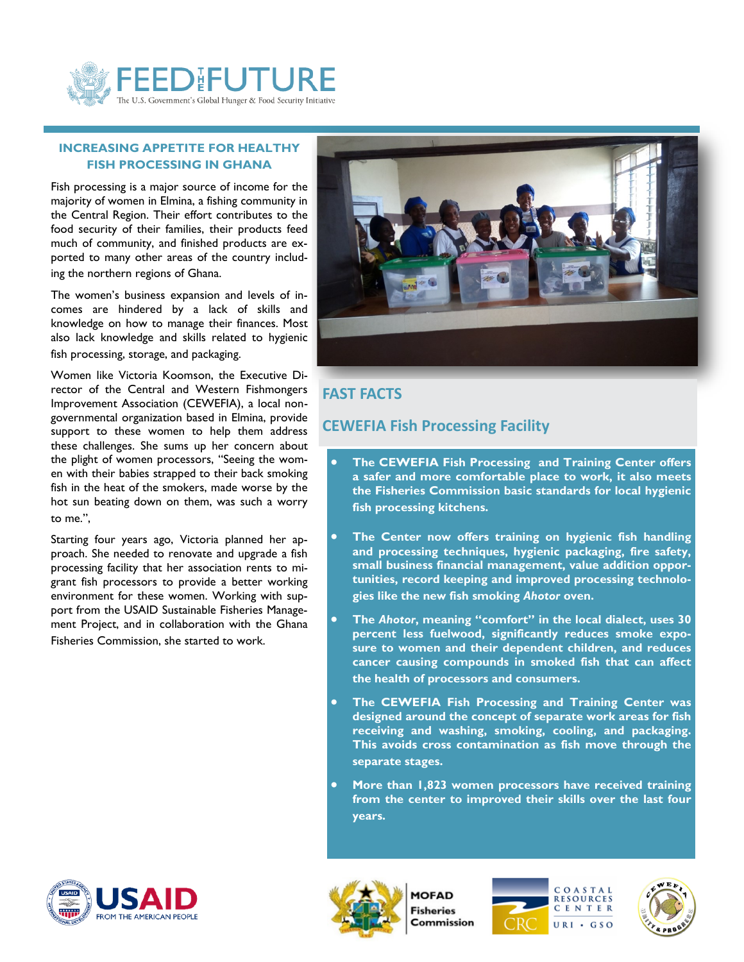

#### **INCREASING APPETITE FOR HEALTHY FISH PROCESSING IN GHANA**

Fish processing is a major source of income for the majority of women in Elmina, a fishing community in the Central Region. Their effort contributes to the food security of their families, their products feed much of community, and finished products are exported to many other areas of the country including the northern regions of Ghana.

The women's business expansion and levels of incomes are hindered by a lack of skills and knowledge on how to manage their finances. Most also lack knowledge and skills related to hygienic fish processing, storage, and packaging.

Women like Victoria Koomson, the Executive Director of the Central and Western Fishmongers Improvement Association (CEWEFIA), a local nongovernmental organization based in Elmina, provide support to these women to help them address these challenges. She sums up her concern about the plight of women processors, "Seeing the women with their babies strapped to their back smoking fish in the heat of the smokers, made worse by the hot sun beating down on them, was such a worry to me.",

Starting four years ago, Victoria planned her approach. She needed to renovate and upgrade a fish processing facility that her association rents to migrant fish processors to provide a better working environment for these women. Working with support from the USAID Sustainable Fisheries Management Project, and in collaboration with the Ghana Fisheries Commission, she started to work.



### **FAST FACTS**

# **CEWEFIA Fish Processing Facility**

- **The CEWEFIA Fish Processing and Training Center offers a safer and more comfortable place to work, it also meets the Fisheries Commission basic standards for local hygienic fish processing kitchens.**
- **The Center now offers training on hygienic fish handling and processing techniques, hygienic packaging, fire safety, small business financial management, value addition opportunities, record keeping and improved processing technologies like the new fish smoking** *Ahotor* **oven.**
- **The** *Ahotor***, meaning "comfort" in the local dialect, uses 30 percent less fuelwood, significantly reduces smoke exposure to women and their dependent children, and reduces cancer causing compounds in smoked fish that can affect the health of processors and consumers.**
- **The CEWEFIA Fish Processing and Training Center was designed around the concept of separate work areas for fish receiving and washing, smoking, cooling, and packaging. This avoids cross contamination as fish move through the separate stages.**
- **More than 1,823 women processors have received training from the center to improved their skills over the last four years.**





**MOFAD Fisheries** Commission